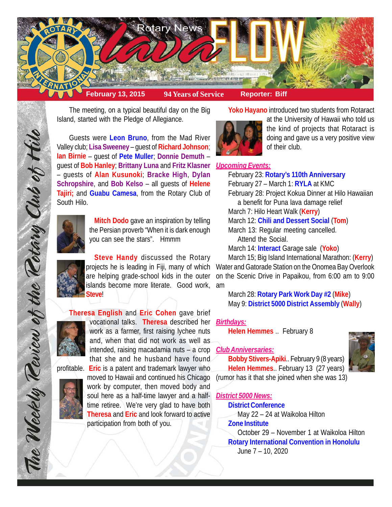

The meeting, on a typical beautiful day on the Big Island, started with the Pledge of Allegiance.

Guests were **Leon Bruno**, from the Mad River Valley club; **Lisa Sweeney** – guest of **Richard Johnson**; **Ian Birnie** – guest of **Pete Muller**; **Donnie Demuth** – guest of **Bob Hanley**; **Brittany Luna** and **Fritz Klasner** *Upcoming Events:* – guests of **Alan Kusunoki**; **Bracke High**, **Dylan Schropshire**, and **Bob Kelso** – all guests of **Helene Tajiri;** and **Guabu Camesa**, from the Rotary Club of South Hilo.



**Mitch Dodo** gave an inspiration by telling the Persian proverb "When it is dark enough you can see the stars". Hmmm

**Steve Handy** discussed the Rotary are helping grade-school kids in the outer islands become more literate. Good work, **Steve**!

**Theresa English** and **Eric Cohen** gave brief



vocational talks. **Theresa** described her work as a farmer, first raising lychee nuts and, when that did not work as well as intended, raising macadamia nuts – a crop that she and he husband have found



profitable. **Eric** is a patent and trademark lawyer who moved to Hawaii and continued his Chicago work by computer, then moved body and soul here as a half-time lawyer and a halftime retiree. We're very glad to have both **Theresa** and **Eric** and look forward to active participation from both of you.

**Yoko Hayano** introduced two students from Rotaract



at the University of Hawaii who told us the kind of projects that Rotaract is doing and gave us a very positive view of their club.

February 23: **Rotary's 110th Anniversary** February 27 – March 1: **RYLA** at KMC February 28: Project Kokua Dinner at Hilo Hawaiian a benefit for Puna lava damage relief March 7: Hilo Heart Walk (**Kerry**) March 12: **Chili and Dessert Social** (**Tom**) March 13: Regular meeting cancelled. Attend the Social. March 14: **Interact** Garage sale (**Yoko**)

projects he is leading in Fiji, many of which Water and Gatorade Station on the Onomea Bay Overlook March 15; Big Island International Marathon: (**Kerry**) on the Scenic Drive in Papaikou, from 6:00 am to 9:00 am

> March 28: **Rotary Park Work Day #2** (**Mike**) May 9: **District 5000 District Assembly** (**Wally**)

# *Birthdays:*

**Helen Hemmes** .. February 8

# *Club Anniversaries:*

**Bobby Stivers-Apiki**.. February 9 (8 years) **Helen Hemmes**.. February 13 (27 years)



(rumor has it that she joined when she was 13)

## *District 5000 News:*

**District Conference**

May 22 – 24 at Waikoloa Hilton

# **Zone Institute**

October 29 – November 1 at Waikoloa Hilton **Rotary International Convention in Honolulu** June 7 – 10, 2020